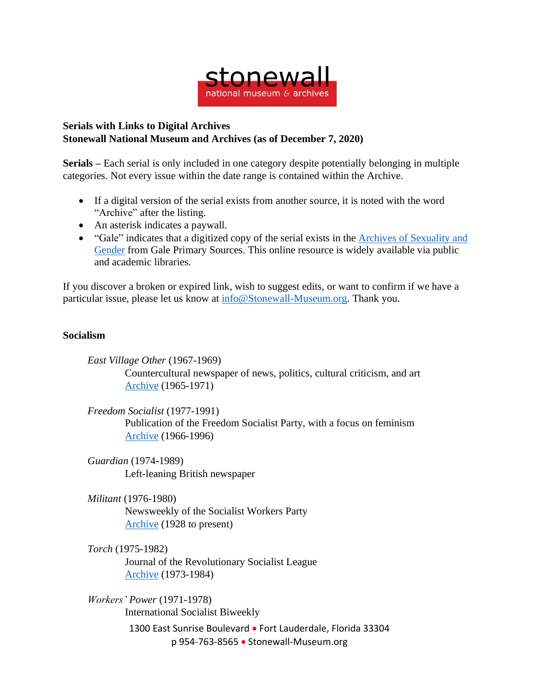

## **Serials with Links to Digital Archives Stonewall National Museum and Archives (as of December 7, 2020)**

**Serials –** Each serial is only included in one category despite potentially belonging in multiple categories. Not every issue within the date range is contained within the Archive.

- If a digital version of the serial exists from another source, it is noted with the word "Archive" after the listing.
- An asterisk indicates a paywall.
- "Gale" indicates that a digitized copy of the serial exists in the Archives of [Sexuality](https://www.gale.com/primary-sources/archives-of-sexuality-and-gender) and [Gender](https://www.gale.com/primary-sources/archives-of-sexuality-and-gender) from Gale Primary Sources. This online resource is widely available via public and academic libraries.

If you discover a broken or expired link, wish to suggest edits, or want to confirm if we have a particular issue, please let us know at [info@Stonewall-Museum.org.](mailto:info@Stonewall-Museum.org) Thank you.

## **Socialism**

*East Village Other* (1967-1969) Countercultural newspaper of news, politics, cultural criticism, and art [Archive](https://voices.revealdigital.org/?a=cl&cl=CL1&sp=BFGHCGB&ai=1&e=-------en-20--1--txt-txIN---------------1) (1965-1971)

*Freedom Socialist* (1977-1991) Publication of the Freedom Socialist Party, with a focus on feminism [Archive](https://www.marxists.org/history/etol/newspape/freedom-socialist/index.htm) (1966-1996)

*Guardian* (1974-1989) Left-leaning British newspaper

*Militant* (1976-1980) Newsweekly of the Socialist Workers Party [Archive](https://themilitant.com/backissu.html) (1928 to present)

*Torch* (1975-1982)

Journal of the Revolutionary Socialist League [Archive](https://www.marxists.org/history/etol/newspape/torch-us/index.htm) (1973-1984)

1300 East Sunrise Boulevard • Fort Lauderdale, Florida 33304 p 954-763-8565 • Stonewall-Museum.org *Workers' Power* (1971-1978) International Socialist Biweekly